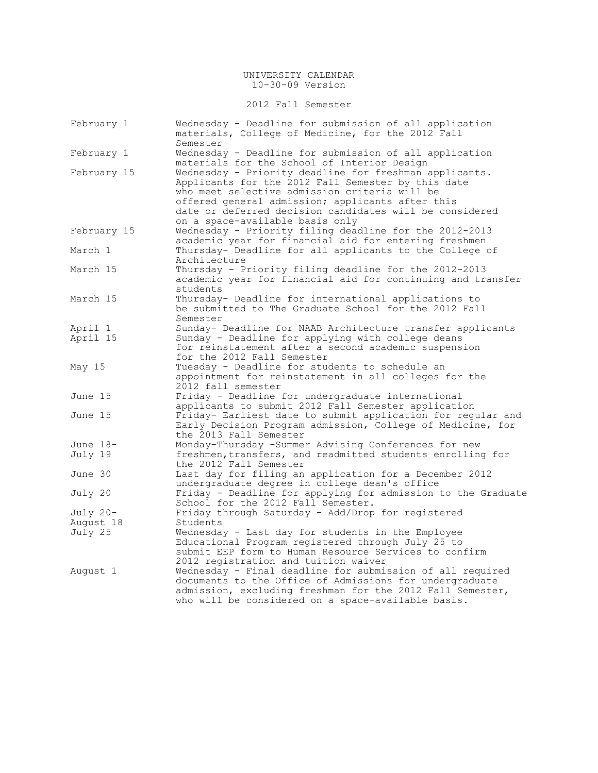2012 Fall Semester

| February 1          | Wednesday - Deadline for submission of all application<br>materials, College of Medicine, for the 2012 Fall<br>Semester                                                                                                                                                                                         |
|---------------------|-----------------------------------------------------------------------------------------------------------------------------------------------------------------------------------------------------------------------------------------------------------------------------------------------------------------|
| February 1          | Wednesday - Deadline for submission of all application<br>materials for the School of Interior Design                                                                                                                                                                                                           |
| February 15         | Wednesday - Priority deadline for freshman applicants.<br>Applicants for the 2012 Fall Semester by this date<br>who meet selective admission criteria will be<br>offered general admission; applicants after this<br>date or deferred decision candidates will be considered<br>on a space-available basis only |
| February 15         | Wednesday - Priority filing deadline for the 2012-2013<br>academic year for financial aid for entering freshmen                                                                                                                                                                                                 |
| March 1             | Thursday- Deadline for all applicants to the College of<br>Architecture                                                                                                                                                                                                                                         |
| March 15            | Thursday - Priority filing deadline for the 2012-2013<br>academic year for financial aid for continuing and transfer<br>students                                                                                                                                                                                |
| March 15            | Thursday- Deadline for international applications to<br>be submitted to The Graduate School for the 2012 Fall<br>Semester                                                                                                                                                                                       |
| April 1<br>April 15 | Sunday- Deadline for NAAB Architecture transfer applicants<br>Sunday - Deadline for applying with college deans<br>for reinstatement after a second academic suspension<br>for the 2012 Fall Semester                                                                                                           |
| May 15              | Tuesday - Deadline for students to schedule an<br>appointment for reinstatement in all colleges for the<br>2012 fall semester                                                                                                                                                                                   |
| June 15             | Friday - Deadline for undergraduate international<br>applicants to submit 2012 Fall Semester application                                                                                                                                                                                                        |
| June 15             | Friday- Earliest date to submit application for regular and<br>Early Decision Program admission, College of Medicine, for<br>the 2013 Fall Semester                                                                                                                                                             |
| June 18-            | Monday-Thursday -Summer Advising Conferences for new                                                                                                                                                                                                                                                            |
| July 19             | freshmen, transfers, and readmitted students enrolling for<br>the 2012 Fall Semester                                                                                                                                                                                                                            |
| June 30             | Last day for filing an application for a December 2012<br>undergraduate degree in college dean's office                                                                                                                                                                                                         |
| July 20             | Friday - Deadline for applying for admission to the Graduate<br>School for the 2012 Fall Semester.                                                                                                                                                                                                              |
| July 20-            | Friday through Saturday - Add/Drop for registered                                                                                                                                                                                                                                                               |
| August 18           | Students                                                                                                                                                                                                                                                                                                        |
| July 25             | Wednesday - Last day for students in the Employee<br>Educational Program registered through July 25 to<br>submit EEP form to Human Resource Services to confirm<br>2012 registration and tuition waiver                                                                                                         |
| August 1            | Wednesday - Final deadline for submission of all required<br>documents to the Office of Admissions for undergraduate<br>admission, excluding freshman for the 2012 Fall Semester,<br>who will be considered on a space-available basis.                                                                         |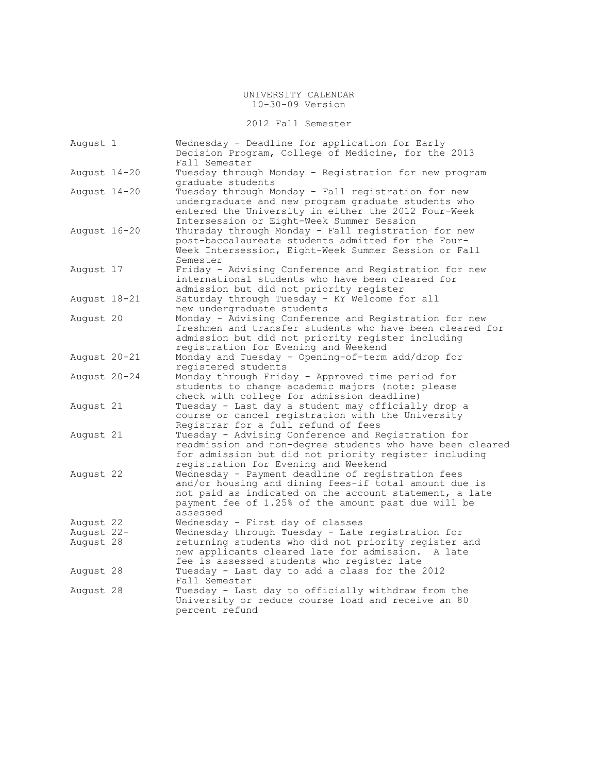2012 Fall Semester

| August 1     | Wednesday - Deadline for application for Early<br>Decision Program, College of Medicine, for the 2013<br>Fall Semester                                                                                                                  |
|--------------|-----------------------------------------------------------------------------------------------------------------------------------------------------------------------------------------------------------------------------------------|
| August 14-20 | Tuesday through Monday - Registration for new program<br>graduate students                                                                                                                                                              |
| August 14-20 | Tuesday through Monday - Fall registration for new<br>undergraduate and new program graduate students who<br>entered the University in either the 2012 Four-Week<br>Intersession or Eight-Week Summer Session                           |
| August 16-20 | Thursday through Monday - Fall registration for new<br>post-baccalaureate students admitted for the Four-<br>Week Intersession, Eight-Week Summer Session or Fall<br>Semester                                                           |
| August 17    | Friday - Advising Conference and Registration for new<br>international students who have been cleared for<br>admission but did not priority register                                                                                    |
| August 18-21 | Saturday through Tuesday - KY Welcome for all<br>new undergraduate students                                                                                                                                                             |
| August 20    | Monday - Advising Conference and Registration for new<br>freshmen and transfer students who have been cleared for<br>admission but did not priority register including<br>registration for Evening and Weekend                          |
| August 20-21 | Monday and Tuesday - Opening-of-term add/drop for<br>registered students                                                                                                                                                                |
| August 20-24 | Monday through Friday - Approved time period for<br>students to change academic majors (note: please<br>check with college for admission deadline)                                                                                      |
| August 21    | Tuesday - Last day a student may officially drop a<br>course or cancel registration with the University<br>Registrar for a full refund of fees                                                                                          |
| August 21    | Tuesday - Advising Conference and Registration for<br>readmission and non-degree students who have been cleared<br>for admission but did not priority register including<br>registration for Evening and Weekend                        |
| August 22    | Wednesday - Payment deadline of registration fees<br>and/or housing and dining fees-if total amount due is<br>not paid as indicated on the account statement, a late<br>payment fee of 1.25% of the amount past due will be<br>assessed |
| August 22    | Wednesday - First day of classes                                                                                                                                                                                                        |
| August 22-   | Wednesday through Tuesday - Late registration for                                                                                                                                                                                       |
| August 28    | returning students who did not priority register and<br>new applicants cleared late for admission. A late<br>fee is assessed students who register late                                                                                 |
| August 28    | Tuesday - Last day to add a class for the 2012<br>Fall Semester                                                                                                                                                                         |
| August 28    | Tuesday - Last day to officially withdraw from the<br>University or reduce course load and receive an 80<br>percent refund                                                                                                              |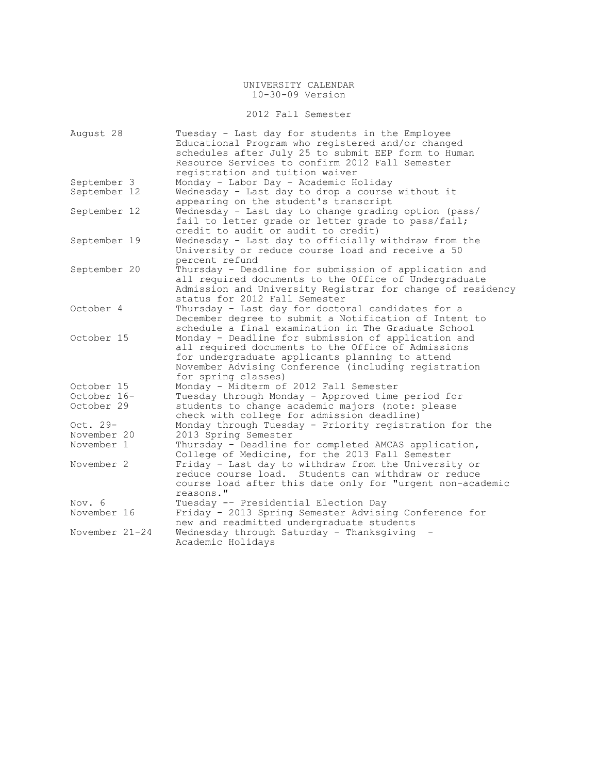## 2012 Fall Semester

| August 28      | Tuesday - Last day for students in the Employee<br>Educational Program who registered and/or changed<br>schedules after July 25 to submit EEP form to Human |
|----------------|-------------------------------------------------------------------------------------------------------------------------------------------------------------|
|                | Resource Services to confirm 2012 Fall Semester                                                                                                             |
|                | registration and tuition waiver                                                                                                                             |
| September 3    | Monday - Labor Day - Academic Holiday                                                                                                                       |
| September 12   | Wednesday - Last day to drop a course without it                                                                                                            |
|                | appearing on the student's transcript                                                                                                                       |
| September 12   | Wednesday - Last day to change grading option (pass/                                                                                                        |
|                | fail to letter grade or letter grade to pass/fail;                                                                                                          |
|                | credit to audit or audit to credit)                                                                                                                         |
| September 19   | Wednesday - Last day to officially withdraw from the<br>University or reduce course load and receive a 50                                                   |
|                | percent refund                                                                                                                                              |
| September 20   | Thursday - Deadline for submission of application and                                                                                                       |
|                | all required documents to the Office of Undergraduate                                                                                                       |
|                | Admission and University Registrar for change of residency                                                                                                  |
|                | status for 2012 Fall Semester                                                                                                                               |
| October 4      | Thursday - Last day for doctoral candidates for a                                                                                                           |
|                | December degree to submit a Notification of Intent to                                                                                                       |
|                | schedule a final examination in The Graduate School                                                                                                         |
| October 15     | Monday - Deadline for submission of application and                                                                                                         |
|                | all required documents to the Office of Admissions                                                                                                          |
|                | for undergraduate applicants planning to attend                                                                                                             |
|                | November Advising Conference (including registration                                                                                                        |
|                | for spring classes)                                                                                                                                         |
| October 15     | Monday - Midterm of 2012 Fall Semester                                                                                                                      |
| October 16-    | Tuesday through Monday - Approved time period for                                                                                                           |
| October 29     | students to change academic majors (note: please                                                                                                            |
|                | check with college for admission deadline)                                                                                                                  |
| Oct. $29-$     | Monday through Tuesday - Priority registration for the                                                                                                      |
| November 20    | 2013 Spring Semester                                                                                                                                        |
| November 1     | Thursday - Deadline for completed AMCAS application,                                                                                                        |
|                | College of Medicine, for the 2013 Fall Semester                                                                                                             |
| November 2     | Friday - Last day to withdraw from the University or                                                                                                        |
|                | reduce course load. Students can withdraw or reduce                                                                                                         |
|                | course load after this date only for "urgent non-academic                                                                                                   |
|                | reasons."                                                                                                                                                   |
| Nov. 6         | Tuesday -- Presidential Election Day                                                                                                                        |
| November 16    | Friday - 2013 Spring Semester Advising Conference for                                                                                                       |
|                | new and readmitted undergraduate students                                                                                                                   |
| November 21-24 | Wednesday through Saturday - Thanksgiving                                                                                                                   |
|                | Academic Holidays                                                                                                                                           |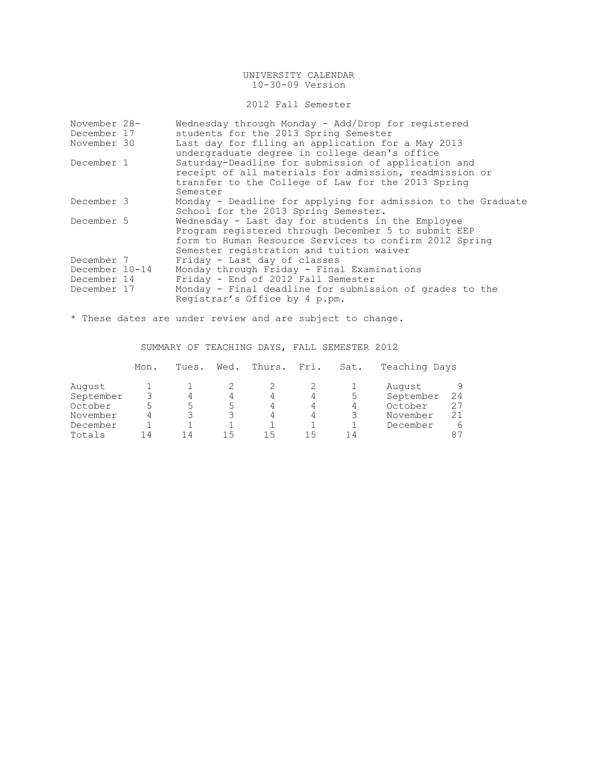### 2012 Fall Semester

| November 28-   | Wednesday through Monday - Add/Drop for registered           |
|----------------|--------------------------------------------------------------|
| December 17    | students for the 2013 Spring Semester                        |
| November 30    | Last day for filing an application for a May 2013            |
|                | undergraduate degree in college dean's office                |
| December 1     | Saturday-Deadline for submission of application and          |
|                | receipt of all materials for admission, readmission or       |
|                | transfer to the College of Law for the 2013 Spring           |
|                | Semester                                                     |
| December 3     | Monday - Deadline for applying for admission to the Graduate |
|                | School for the 2013 Spring Semester.                         |
| December 5     | Wednesday - Last day for students in the Employee            |
|                | Program registered through December 5 to submit EEP          |
|                | form to Human Resource Services to confirm 2012 Spring       |
|                | Semester registration and tuition waiver                     |
| December 7     | Friday - Last day of classes                                 |
| December 10-14 | Monday through Friday - Final Examinations                   |
| December 14    | Friday - End of 2012 Fall Semester                           |
| December 17    | Monday - Final deadline for submission of grades to the      |
|                | Registrar's Office by 4 p.pm.                                |

\* These dates are under review and are subject to change.

## SUMMARY OF TEACHING DAYS, FALL SEMESTER 2012

|           | Mon. | Tues. | Wed. | Thurs. | Fri. | Sat. | Teaching Days |    |
|-----------|------|-------|------|--------|------|------|---------------|----|
| August    |      |       |      |        |      |      | August        |    |
| September |      | 4     | 4    | 4      |      | 5    | September     | 24 |
| October   | ᄂ    | ∽     | ᄂ    |        |      | 4    | October       | 27 |
| November  |      |       |      |        |      |      | November      |    |
| December  |      |       |      |        |      |      | December      | 6  |
| Totals    | 14   | 14    | 15   | 15     | ገ ካ  | 14   |               | 87 |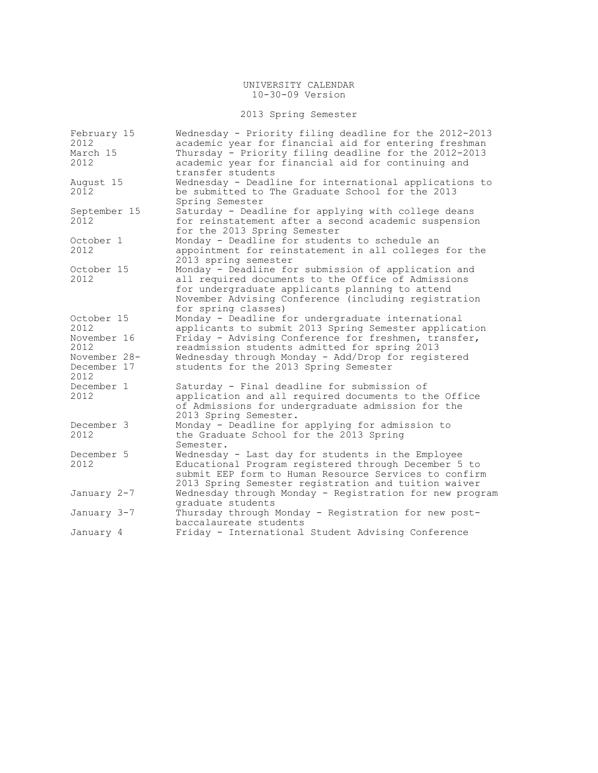## 2013 Spring Semester

| February 15<br>2012<br>March 15<br>2012 | Wednesday - Priority filing deadline for the 2012-2013<br>academic year for financial aid for entering freshman<br>Thursday - Priority filing deadline for the 2012-2013<br>academic year for financial aid for continuing and              |
|-----------------------------------------|---------------------------------------------------------------------------------------------------------------------------------------------------------------------------------------------------------------------------------------------|
| August 15<br>2012                       | transfer students<br>Wednesday - Deadline for international applications to<br>be submitted to The Graduate School for the 2013<br>Spring Semester                                                                                          |
| September 15<br>2012                    | Saturday - Deadline for applying with college deans<br>for reinstatement after a second academic suspension<br>for the 2013 Spring Semester                                                                                                 |
| October 1<br>2012                       | Monday - Deadline for students to schedule an<br>appointment for reinstatement in all colleges for the<br>2013 spring semester                                                                                                              |
| October 15<br>2012                      | Monday - Deadline for submission of application and<br>all required documents to the Office of Admissions<br>for undergraduate applicants planning to attend<br>November Advising Conference (including registration<br>for spring classes) |
| October 15<br>2012                      | Monday - Deadline for undergraduate international<br>applicants to submit 2013 Spring Semester application                                                                                                                                  |
| November 16<br>2012                     | Friday - Advising Conference for freshmen, transfer,<br>readmission students admitted for spring 2013                                                                                                                                       |
| November 28-<br>December 17<br>2012     | Wednesday through Monday - Add/Drop for registered<br>students for the 2013 Spring Semester                                                                                                                                                 |
| December 1<br>2012                      | Saturday - Final deadline for submission of<br>application and all required documents to the Office<br>of Admissions for undergraduate admission for the<br>2013 Spring Semester.                                                           |
| December 3<br>2012                      | Monday - Deadline for applying for admission to<br>the Graduate School for the 2013 Spring<br>Semester.                                                                                                                                     |
| December 5<br>2012                      | Wednesday - Last day for students in the Employee<br>Educational Program registered through December 5 to<br>submit EEP form to Human Resource Services to confirm<br>2013 Spring Semester registration and tuition waiver                  |
| January 2-7                             | Wednesday through Monday - Registration for new program<br>graduate students                                                                                                                                                                |
| January 3-7                             | Thursday through Monday - Registration for new post-<br>baccalaureate students                                                                                                                                                              |
| January 4                               | Friday - International Student Advising Conference                                                                                                                                                                                          |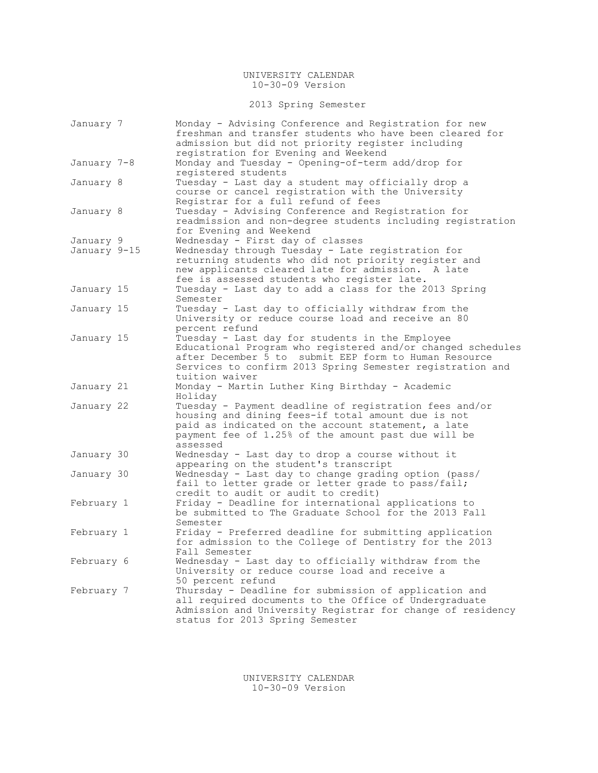2013 Spring Semester

| January 7    | Monday - Advising Conference and Registration for new<br>freshman and transfer students who have been cleared for<br>admission but did not priority register including                                                                                 |
|--------------|--------------------------------------------------------------------------------------------------------------------------------------------------------------------------------------------------------------------------------------------------------|
| January 7-8  | registration for Evening and Weekend<br>Monday and Tuesday - Opening-of-term add/drop for<br>registered students                                                                                                                                       |
| January 8    | Tuesday - Last day a student may officially drop a<br>course or cancel registration with the University<br>Registrar for a full refund of fees                                                                                                         |
| January 8    | Tuesday - Advising Conference and Registration for<br>readmission and non-degree students including registration<br>for Evening and Weekend                                                                                                            |
| January 9    | Wednesday - First day of classes                                                                                                                                                                                                                       |
| January 9–15 | Wednesday through Tuesday - Late registration for<br>returning students who did not priority register and<br>new applicants cleared late for admission. A late<br>fee is assessed students who register late.                                          |
| January 15   | Tuesday - Last day to add a class for the 2013 Spring<br>Semester                                                                                                                                                                                      |
| January 15   | Tuesday - Last day to officially withdraw from the<br>University or reduce course load and receive an 80<br>percent refund                                                                                                                             |
| January 15   | Tuesday - Last day for students in the Employee<br>Educational Program who registered and/or changed schedules<br>after December 5 to submit EEP form to Human Resource<br>Services to confirm 2013 Spring Semester registration and<br>tuition waiver |
| January 21   | Monday - Martin Luther King Birthday - Academic<br>Holiday                                                                                                                                                                                             |
| January 22   | Tuesday - Payment deadline of registration fees and/or<br>housing and dining fees-if total amount due is not<br>paid as indicated on the account statement, a late<br>payment fee of 1.25% of the amount past due will be<br>assessed                  |
| January 30   | Wednesday - Last day to drop a course without it<br>appearing on the student's transcript                                                                                                                                                              |
| January 30   | Wednesday - Last day to change grading option (pass/<br>fail to letter grade or letter grade to pass/fail;<br>credit to audit or audit to credit)                                                                                                      |
| February 1   | Friday - Deadline for international applications to<br>be submitted to The Graduate School for the 2013 Fall<br>Semester                                                                                                                               |
| February 1   | Friday - Preferred deadline for submitting application<br>for admission to the College of Dentistry for the 2013<br>Fall Semester                                                                                                                      |
| February 6   | Wednesday - Last day to officially withdraw from the<br>University or reduce course load and receive a<br>50 percent refund                                                                                                                            |
| February 7   | Thursday - Deadline for submission of application and<br>all required documents to the Office of Undergraduate<br>Admission and University Registrar for change of residency<br>status for 2013 Spring Semester                                        |

UNIVERSITY CALENDAR 10-30-09 Version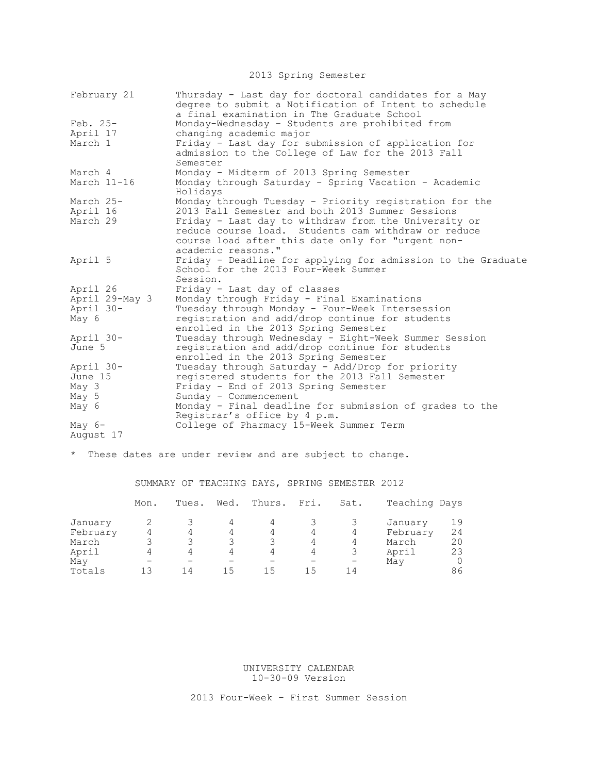2013 Spring Semester

| February 21          | Thursday - Last day for doctoral candidates for a May<br>degree to submit a Notification of Intent to schedule<br>a final examination in The Graduate School |
|----------------------|--------------------------------------------------------------------------------------------------------------------------------------------------------------|
| Feb. 25-             | Monday-Wednesday - Students are prohibited from                                                                                                              |
| April 17             | changing academic major                                                                                                                                      |
| March 1              | Friday - Last day for submission of application for                                                                                                          |
|                      | admission to the College of Law for the 2013 Fall                                                                                                            |
|                      | Semester                                                                                                                                                     |
| March 4              | Monday - Midterm of 2013 Spring Semester                                                                                                                     |
| March 11-16          | Monday through Saturday - Spring Vacation - Academic<br>Holidays                                                                                             |
| March 25-            | Monday through Tuesday - Priority registration for the                                                                                                       |
| April 16             | 2013 Fall Semester and both 2013 Summer Sessions                                                                                                             |
| March 29             | Friday - Last day to withdraw from the University or                                                                                                         |
|                      | reduce course load. Students cam withdraw or reduce                                                                                                          |
|                      | course load after this date only for "urgent non-                                                                                                            |
| April 5              | academic reasons."<br>Friday - Deadline for applying for admission to the Graduate                                                                           |
|                      | School for the 2013 Four-Week Summer                                                                                                                         |
|                      | Session.                                                                                                                                                     |
| April 26             | Friday - Last day of classes                                                                                                                                 |
| April 29-May 3       | Monday through Friday - Final Examinations                                                                                                                   |
| April 30-            | Tuesday through Monday - Four-Week Intersession                                                                                                              |
| May 6                | registration and add/drop continue for students                                                                                                              |
|                      | enrolled in the 2013 Spring Semester                                                                                                                         |
| April 30-            | Tuesday through Wednesday - Eight-Week Summer Session                                                                                                        |
| June 5               | registration and add/drop continue for students                                                                                                              |
|                      | enrolled in the 2013 Spring Semester                                                                                                                         |
| April 30-<br>June 15 | Tuesday through Saturday - Add/Drop for priority<br>registered students for the 2013 Fall Semester                                                           |
| May 3                | Friday - End of 2013 Spring Semester                                                                                                                         |
| May 5                | Sunday - Commencement                                                                                                                                        |
| May 6                | Monday - Final deadline for submission of grades to the                                                                                                      |
|                      | Registrar's office by 4 p.m.                                                                                                                                 |
| May $6-$             | College of Pharmacy 15-Week Summer Term                                                                                                                      |
| August 17            |                                                                                                                                                              |

\* These dates are under review and are subject to change.

# SUMMARY OF TEACHING DAYS, SPRING SEMESTER 2012

|          | Mon. | Tues. | Wed. | Thurs. Fri. |    | Sat. | Teaching Days |    |
|----------|------|-------|------|-------------|----|------|---------------|----|
| January  |      |       |      |             |    |      | January       | 19 |
| February |      |       | 4    | 4           |    | 4    | February      | 24 |
| March    |      |       |      |             | 4  | 4    | March         | 20 |
| April    |      |       | 4    | 4           | 4  |      | April         | 23 |
| May      |      |       |      |             |    |      | May           |    |
| Totals   | 1 ว  | 14    |      | 15          | 15 | 14   |               | 86 |

UNIVERSITY CALENDAR 10-30-09 Version

2013 Four-Week – First Summer Session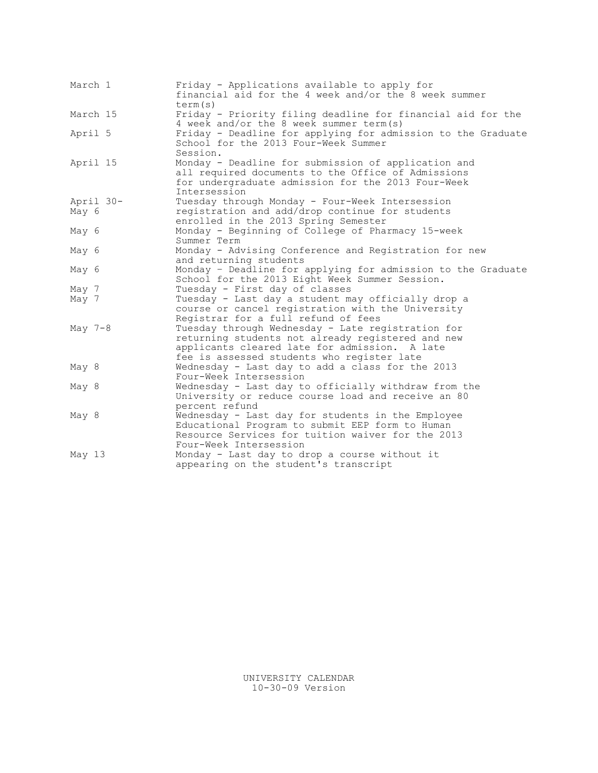| March 1  |           | Friday - Applications available to apply for<br>financial aid for the 4 week and/or the 8 week summer<br>term(s)                                                                                      |
|----------|-----------|-------------------------------------------------------------------------------------------------------------------------------------------------------------------------------------------------------|
|          | March 15  | Friday - Priority filing deadline for financial aid for the<br>4 week and/or the 8 week summer term (s)                                                                                               |
| April 5  |           | Friday - Deadline for applying for admission to the Graduate<br>School for the 2013 Four-Week Summer<br>Session.                                                                                      |
|          | April 15  | Monday - Deadline for submission of application and<br>all required documents to the Office of Admissions<br>for undergraduate admission for the 2013 Four-Week<br>Intersession                       |
| May 6    | April 30- | Tuesday through Monday - Four-Week Intersession<br>registration and add/drop continue for students<br>enrolled in the 2013 Spring Semester                                                            |
| May 6    |           | Monday - Beginning of College of Pharmacy 15-week<br>Summer Term                                                                                                                                      |
| May 6    |           | Monday - Advising Conference and Registration for new<br>and returning students                                                                                                                       |
| May 6    |           | Monday - Deadline for applying for admission to the Graduate<br>School for the 2013 Eight Week Summer Session.                                                                                        |
| May 7    |           | Tuesday - First day of classes                                                                                                                                                                        |
| May 7    |           | Tuesday - Last day a student may officially drop a<br>course or cancel registration with the University<br>Registrar for a full refund of fees                                                        |
| May 7-8  |           | Tuesday through Wednesday - Late registration for<br>returning students not already registered and new<br>applicants cleared late for admission. A late<br>fee is assessed students who register late |
| May 8    |           | Wednesday - Last day to add a class for the 2013<br>Four-Week Intersession                                                                                                                            |
| May 8    |           | Wednesday - Last day to officially withdraw from the<br>University or reduce course load and receive an 80<br>percent refund                                                                          |
| May 8    |           | Wednesday - Last day for students in the Employee<br>Educational Program to submit EEP form to Human<br>Resource Services for tuition waiver for the 2013<br>Four-Week Intersession                   |
| May $13$ |           | Monday - Last day to drop a course without it<br>appearing on the student's transcript                                                                                                                |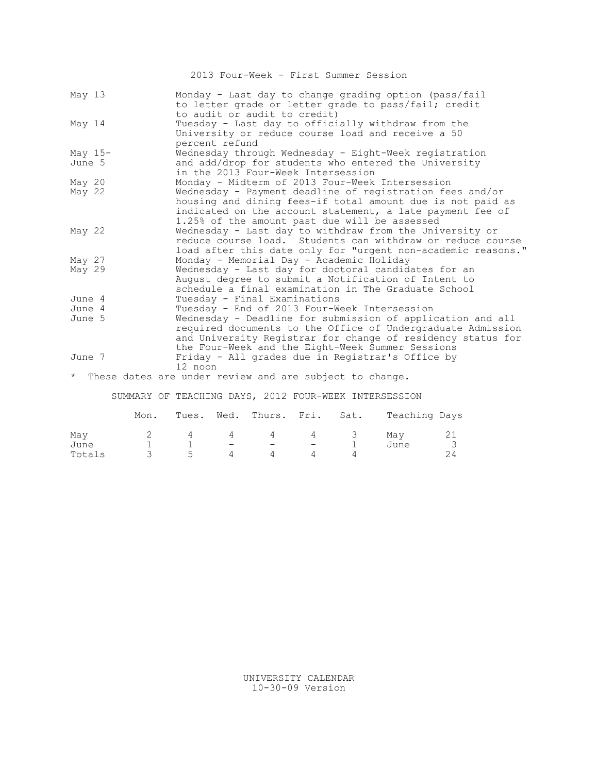2013 Four-Week - First Summer Session

| May $13$                                                  | Monday - Last day to change grading option (pass/fail<br>to letter grade or letter grade to pass/fail; credit<br>to audit or audit to credit) |
|-----------------------------------------------------------|-----------------------------------------------------------------------------------------------------------------------------------------------|
| May 14<br>percent refund                                  | Tuesday - Last day to officially withdraw from the<br>University or reduce course load and receive a 50                                       |
| May $15-$                                                 | Wednesday through Wednesday - Eight-Week registration                                                                                         |
| June 5                                                    | and add/drop for students who entered the University                                                                                          |
|                                                           | in the 2013 Four-Week Intersession                                                                                                            |
| May 20                                                    | Monday - Midterm of 2013 Four-Week Intersession                                                                                               |
| May 22                                                    | Wednesday - Payment deadline of registration fees and/or                                                                                      |
|                                                           | housing and dining fees-if total amount due is not paid as                                                                                    |
|                                                           | indicated on the account statement, a late payment fee of                                                                                     |
|                                                           | 1.25% of the amount past due will be assessed                                                                                                 |
| May $22$                                                  | Wednesday - Last day to withdraw from the University or                                                                                       |
|                                                           | reduce course load. Students can withdraw or reduce course                                                                                    |
|                                                           | load after this date only for "urgent non-academic reasons."                                                                                  |
| May $27$                                                  | Monday - Memorial Day - Academic Holiday                                                                                                      |
| May 29                                                    | Wednesday - Last day for doctoral candidates for an                                                                                           |
|                                                           | August degree to submit a Notification of Intent to<br>schedule a final examination in The Graduate School                                    |
| June 4                                                    | Tuesday - Final Examinations                                                                                                                  |
| June 4                                                    | Tuesday - End of 2013 Four-Week Intersession                                                                                                  |
| June 5                                                    | Wednesday - Deadline for submission of application and all                                                                                    |
|                                                           | required documents to the Office of Undergraduate Admission                                                                                   |
|                                                           | and University Registrar for change of residency status for                                                                                   |
|                                                           | the Four-Week and the Eight-Week Summer Sessions                                                                                              |
| June 7                                                    | Friday - All grades due in Registrar's Office by                                                                                              |
| 12 noon                                                   |                                                                                                                                               |
| * These dates are under review and are subject to change. |                                                                                                                                               |

SUMMARY OF TEACHING DAYS, 2012 FOUR-WEEK INTERSESSION

|                       | Mon. |                   |                               | Tues. Wed. Thurs. Fri. Sat.   |   |     | Teaching Days |  |
|-----------------------|------|-------------------|-------------------------------|-------------------------------|---|-----|---------------|--|
| May<br>June<br>Totals |      | $\Delta$<br>$5 -$ | 4<br>$\overline{\phantom{m}}$ | 4<br>$\overline{\phantom{m}}$ | 4 | - 3 | Mav<br>June   |  |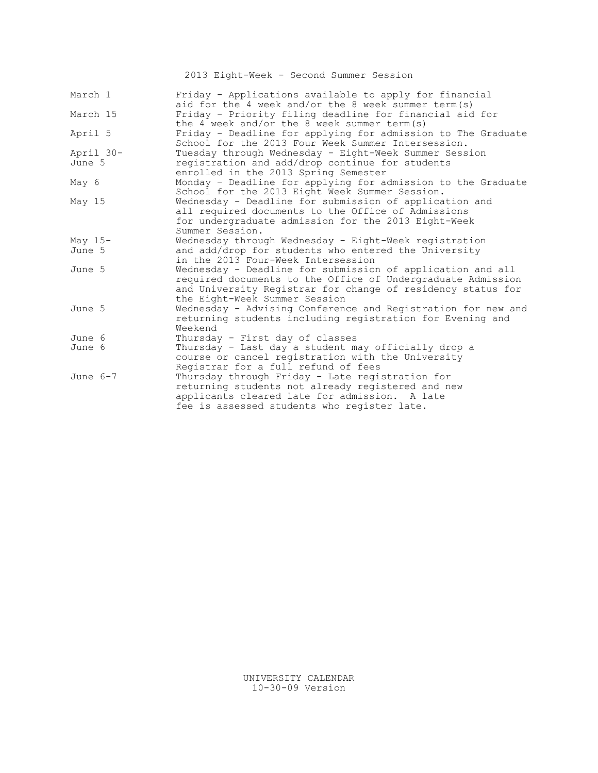2013 Eight-Week - Second Summer Session

| March 1    | Friday - Applications available to apply for financial<br>aid for the 4 week and/or the 8 week summer term(s)                                                                                                             |
|------------|---------------------------------------------------------------------------------------------------------------------------------------------------------------------------------------------------------------------------|
| March 15   | Friday - Priority filing deadline for financial aid for<br>the 4 week and/or the 8 week summer term(s)                                                                                                                    |
| April 5    | Friday - Deadline for applying for admission to The Graduate<br>School for the 2013 Four Week Summer Intersession.                                                                                                        |
| April 30-  | Tuesday through Wednesday - Eight-Week Summer Session                                                                                                                                                                     |
| June 5     | registration and add/drop continue for students<br>enrolled in the 2013 Spring Semester                                                                                                                                   |
| May 6      | Monday - Deadline for applying for admission to the Graduate<br>School for the 2013 Eight Week Summer Session.                                                                                                            |
| May 15     | Wednesday - Deadline for submission of application and<br>all required documents to the Office of Admissions<br>for undergraduate admission for the 2013 Eight-Week<br>Summer Session.                                    |
| May $15-$  | Wednesday through Wednesday - Eight-Week registration                                                                                                                                                                     |
| June 5     | and add/drop for students who entered the University<br>in the 2013 Four-Week Intersession                                                                                                                                |
| June 5     | Wednesday - Deadline for submission of application and all<br>required documents to the Office of Undergraduate Admission<br>and University Registrar for change of residency status for<br>the Eight-Week Summer Session |
| June 5     | Wednesday - Advising Conference and Registration for new and<br>returning students including registration for Evening and<br>Weekend                                                                                      |
| June 6     | Thursday - First day of classes                                                                                                                                                                                           |
| June 6     | Thursday - Last day a student may officially drop a<br>course or cancel registration with the University<br>Registrar for a full refund of fees                                                                           |
| June $6-7$ | Thursday through Friday - Late registration for<br>returning students not already registered and new<br>applicants cleared late for admission. A late<br>fee is assessed students who register late.                      |

UNIVERSITY CALENDAR 10-30-09 Version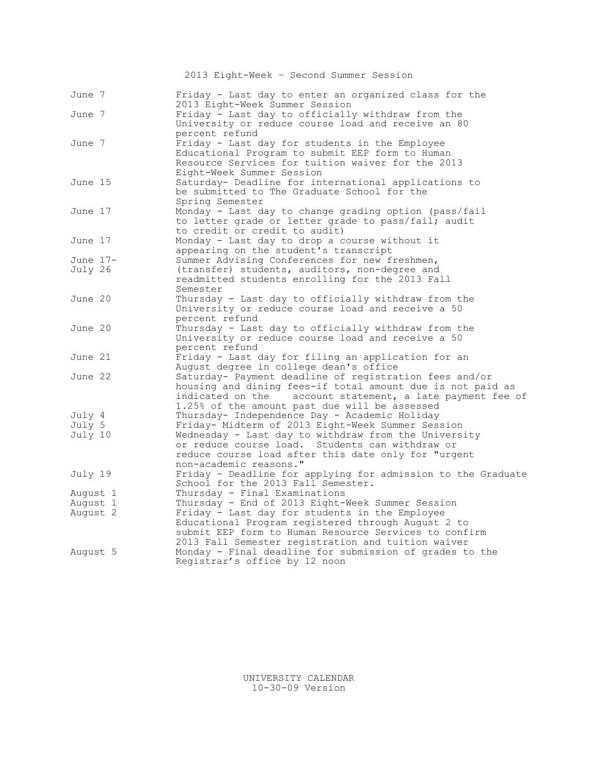|          | 2013 Eight-Week - Second Summer Session                                                                                                                                                                                            |
|----------|------------------------------------------------------------------------------------------------------------------------------------------------------------------------------------------------------------------------------------|
| June 7   | Friday - Last day to enter an organized class for the<br>2013 Eight-Week Summer Session                                                                                                                                            |
| June 7   | Friday - Last day to officially withdraw from the<br>University or reduce course load and receive an 80<br>percent refund                                                                                                          |
| June 7   | Friday - Last day for students in the Employee<br>Educational Program to submit EEP form to Human<br>Resource Services for tuition waiver for the 2013<br>Eight-Week Summer Session                                                |
| June 15  | Saturday- Deadline for international applications to<br>be submitted to The Graduate School for the<br>Spring Semester                                                                                                             |
| June 17  | Monday - Last day to change grading option (pass/fail<br>to letter grade or letter grade to pass/fail; audit<br>to credit or credit to audit)                                                                                      |
| June 17  | Monday - Last day to drop a course without it<br>appearing on the student's transcript                                                                                                                                             |
| June 17- | Summer Advising Conferences for new freshmen,                                                                                                                                                                                      |
| July 26  | (transfer) students, auditors, non-degree and<br>readmitted students enrolling for the 2013 Fall<br>Semester                                                                                                                       |
| June 20  | Thursday - Last day to officially withdraw from the<br>University or reduce course load and receive a 50<br>percent refund                                                                                                         |
| June 20  | Thursday - Last day to officially withdraw from the<br>University or reduce course load and receive a 50<br>percent refund                                                                                                         |
| June 21  | Friday - Last day for filing an application for an<br>August degree in college dean's office                                                                                                                                       |
| June 22  | Saturday- Payment deadline of registration fees and/or<br>housing and dining fees-if total amount due is not paid as<br>indicated on the account statement, a late payment fee of<br>1.25% of the amount past due will be assessed |
| July 4   | Thursday- Independence Day - Academic Holiday                                                                                                                                                                                      |
| July 5   | Friday- Midterm of 2013 Eight-Week Summer Session                                                                                                                                                                                  |
| July 10  | Wednesday - Last day to withdraw from the University<br>or reduce course load. Students can withdraw or<br>reduce course load after this date only for "urgent<br>non-academic reasons."                                           |
| July 19  | Friday - Deadline for applying for admission to the Graduate<br>School for the 2013 Fall Semester.                                                                                                                                 |
| August 1 | Thursday - Final Examinations                                                                                                                                                                                                      |
| August 1 | Thursday - End of 2013 Eight-Week Summer Session                                                                                                                                                                                   |
| August 2 | Friday - Last day for students in the Employee<br>Educational Program registered through August 2 to<br>submit EEP form to Human Resource Services to confirm<br>2013 Fall Semester registration and tuition waiver                |
| August 5 | Monday - Final deadline for submission of grades to the<br>Registrar's office by 12 noon                                                                                                                                           |